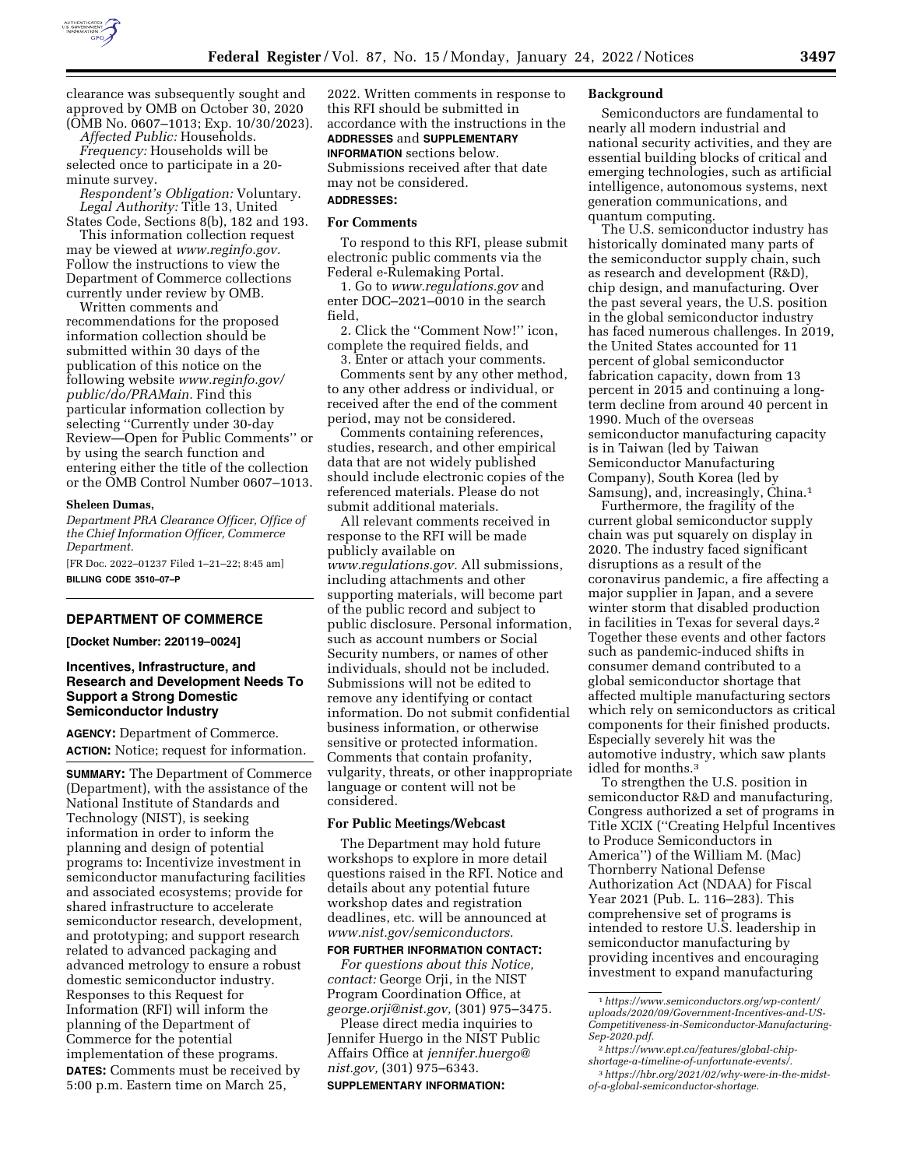

clearance was subsequently sought and approved by OMB on October 30, 2020 (OMB No. 0607–1013; Exp. 10/30/2023).

*Affected Public:* Households. *Frequency:* Households will be selected once to participate in a 20 minute survey.

*Respondent's Obligation:* Voluntary. *Legal Authority:* Title 13, United

States Code, Sections 8(b), 182 and 193. This information collection request may be viewed at *[www.reginfo.gov.](http://www.reginfo.gov)*  Follow the instructions to view the Department of Commerce collections currently under review by OMB.

Written comments and recommendations for the proposed information collection should be submitted within 30 days of the publication of this notice on the following website *[www.reginfo.gov/](http://www.reginfo.gov/public/do/PRAMain)  [public/do/PRAMain.](http://www.reginfo.gov/public/do/PRAMain)* Find this particular information collection by selecting ''Currently under 30-day Review—Open for Public Comments'' or by using the search function and entering either the title of the collection or the OMB Control Number 0607–1013.

#### **Sheleen Dumas,**

*Department PRA Clearance Officer, Office of the Chief Information Officer, Commerce Department.* 

[FR Doc. 2022–01237 Filed 1–21–22; 8:45 am] **BILLING CODE 3510–07–P** 

# **DEPARTMENT OF COMMERCE**

**[Docket Number: 220119–0024]** 

# **Incentives, Infrastructure, and Research and Development Needs To Support a Strong Domestic Semiconductor Industry**

**AGENCY:** Department of Commerce. **ACTION:** Notice; request for information.

**SUMMARY:** The Department of Commerce (Department), with the assistance of the National Institute of Standards and Technology (NIST), is seeking information in order to inform the planning and design of potential programs to: Incentivize investment in semiconductor manufacturing facilities and associated ecosystems; provide for shared infrastructure to accelerate semiconductor research, development, and prototyping; and support research related to advanced packaging and advanced metrology to ensure a robust domestic semiconductor industry. Responses to this Request for Information (RFI) will inform the planning of the Department of Commerce for the potential implementation of these programs. **DATES:** Comments must be received by 5:00 p.m. Eastern time on March 25,

2022. Written comments in response to this RFI should be submitted in accordance with the instructions in the **ADDRESSES** and **SUPPLEMENTARY INFORMATION** sections below. Submissions received after that date may not be considered. **ADDRESSES:** 

#### **For Comments**

To respond to this RFI, please submit electronic public comments via the Federal e-Rulemaking Portal.

1. Go to *[www.regulations.gov](http://www.regulations.gov)* and enter DOC–2021–0010 in the search field,

2. Click the ''Comment Now!'' icon, complete the required fields, and

3. Enter or attach your comments.

Comments sent by any other method, to any other address or individual, or received after the end of the comment period, may not be considered.

Comments containing references, studies, research, and other empirical data that are not widely published should include electronic copies of the referenced materials. Please do not submit additional materials.

All relevant comments received in response to the RFI will be made publicly available on *[www.regulations.gov.](http://www.regulations.gov)* All submissions, including attachments and other supporting materials, will become part of the public record and subject to public disclosure. Personal information, such as account numbers or Social Security numbers, or names of other individuals, should not be included. Submissions will not be edited to remove any identifying or contact information. Do not submit confidential business information, or otherwise sensitive or protected information. Comments that contain profanity, vulgarity, threats, or other inappropriate language or content will not be considered.

# **For Public Meetings/Webcast**

The Department may hold future workshops to explore in more detail questions raised in the RFI. Notice and details about any potential future workshop dates and registration deadlines, etc. will be announced at *[www.nist.gov/semiconductors.](http://www.nist.gov/semiconductors)* 

### **FOR FURTHER INFORMATION CONTACT:**

*For questions about this Notice, contact:* George Orji, in the NIST Program Coordination Office, at *[george.orji@nist.gov,](mailto:george.orji@nist.gov)* (301) 975–3475.

Please direct media inquiries to Jennifer Huergo in the NIST Public Affairs Office at *[jennifer.huergo@](mailto:jennifer.huergo@nist.gov) [nist.gov,](mailto:jennifer.huergo@nist.gov)* (301) 975–6343.

### **SUPPLEMENTARY INFORMATION:**

#### **Background**

Semiconductors are fundamental to nearly all modern industrial and national security activities, and they are essential building blocks of critical and emerging technologies, such as artificial intelligence, autonomous systems, next generation communications, and quantum computing.

The U.S. semiconductor industry has historically dominated many parts of the semiconductor supply chain, such as research and development (R&D), chip design, and manufacturing. Over the past several years, the U.S. position in the global semiconductor industry has faced numerous challenges. In 2019, the United States accounted for 11 percent of global semiconductor fabrication capacity, down from 13 percent in 2015 and continuing a longterm decline from around 40 percent in 1990. Much of the overseas semiconductor manufacturing capacity is in Taiwan (led by Taiwan Semiconductor Manufacturing Company), South Korea (led by Samsung), and, increasingly, China.1

Furthermore, the fragility of the current global semiconductor supply chain was put squarely on display in 2020. The industry faced significant disruptions as a result of the coronavirus pandemic, a fire affecting a major supplier in Japan, and a severe winter storm that disabled production in facilities in Texas for several days.2 Together these events and other factors such as pandemic-induced shifts in consumer demand contributed to a global semiconductor shortage that affected multiple manufacturing sectors which rely on semiconductors as critical components for their finished products. Especially severely hit was the automotive industry, which saw plants idled for months.3

To strengthen the U.S. position in semiconductor R&D and manufacturing, Congress authorized a set of programs in Title XCIX (''Creating Helpful Incentives to Produce Semiconductors in America'') of the William M. (Mac) Thornberry National Defense Authorization Act (NDAA) for Fiscal Year 2021 (Pub. L. 116–283). This comprehensive set of programs is intended to restore U.S. leadership in semiconductor manufacturing by providing incentives and encouraging investment to expand manufacturing

<sup>1</sup>*[https://www.semiconductors.org/wp-content/](https://www.semiconductors.org/wp-content/uploads/2020/09/Government-Incentives-and-US-Competitiveness-in-Semiconductor-Manufacturing-Sep-2020.pdf) [uploads/2020/09/Government-Incentives-and-US-](https://www.semiconductors.org/wp-content/uploads/2020/09/Government-Incentives-and-US-Competitiveness-in-Semiconductor-Manufacturing-Sep-2020.pdf)[Competitiveness-in-Semiconductor-Manufacturing-](https://www.semiconductors.org/wp-content/uploads/2020/09/Government-Incentives-and-US-Competitiveness-in-Semiconductor-Manufacturing-Sep-2020.pdf)[Sep-2020.pdf.](https://www.semiconductors.org/wp-content/uploads/2020/09/Government-Incentives-and-US-Competitiveness-in-Semiconductor-Manufacturing-Sep-2020.pdf)* 

<sup>2</sup>*[https://www.ept.ca/features/global-chip](https://www.ept.ca/features/global-chip-shortage-a-timeline-of-unfortunate-events/)[shortage-a-timeline-of-unfortunate-events/.](https://www.ept.ca/features/global-chip-shortage-a-timeline-of-unfortunate-events/)* 

<sup>3</sup>*[https://hbr.org/2021/02/why-were-in-the-midst](https://hbr.org/2021/02/why-were-in-the-midst-of-a-global-semiconductor-shortage)[of-a-global-semiconductor-shortage.](https://hbr.org/2021/02/why-were-in-the-midst-of-a-global-semiconductor-shortage)*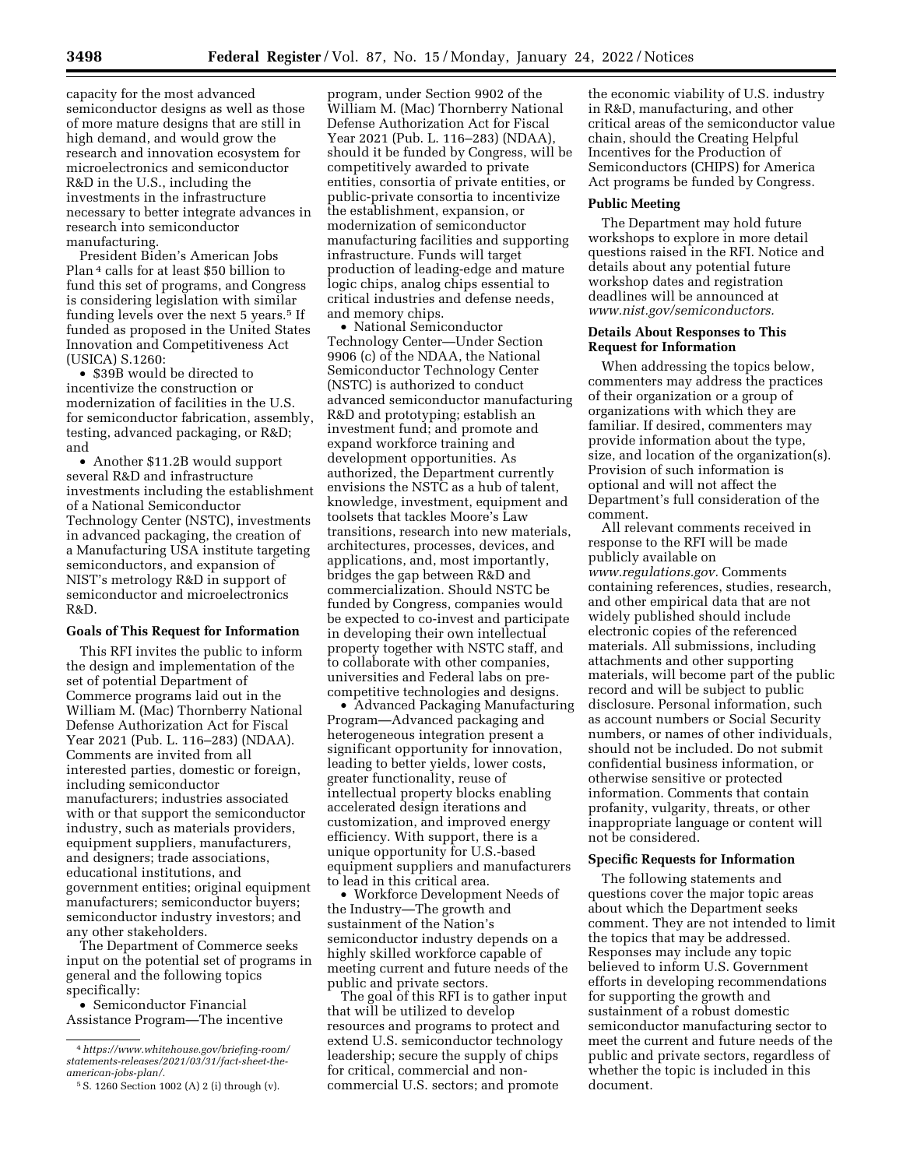capacity for the most advanced semiconductor designs as well as those of more mature designs that are still in high demand, and would grow the research and innovation ecosystem for microelectronics and semiconductor R&D in the U.S., including the investments in the infrastructure necessary to better integrate advances in research into semiconductor manufacturing.

President Biden's American Jobs Plan 4 calls for at least \$50 billion to fund this set of programs, and Congress is considering legislation with similar funding levels over the next 5 years.<sup>5</sup> If funded as proposed in the United States Innovation and Competitiveness Act (USICA) S.1260:

• \$39B would be directed to incentivize the construction or modernization of facilities in the U.S. for semiconductor fabrication, assembly, testing, advanced packaging, or R&D; and

• Another \$11.2B would support several R&D and infrastructure investments including the establishment of a National Semiconductor Technology Center (NSTC), investments in advanced packaging, the creation of a Manufacturing USA institute targeting semiconductors, and expansion of NIST's metrology R&D in support of semiconductor and microelectronics R&D.

#### **Goals of This Request for Information**

This RFI invites the public to inform the design and implementation of the set of potential Department of Commerce programs laid out in the William M. (Mac) Thornberry National Defense Authorization Act for Fiscal Year 2021 (Pub. L. 116–283) (NDAA). Comments are invited from all interested parties, domestic or foreign, including semiconductor manufacturers; industries associated with or that support the semiconductor industry, such as materials providers, equipment suppliers, manufacturers, and designers; trade associations, educational institutions, and government entities; original equipment manufacturers; semiconductor buyers; semiconductor industry investors; and any other stakeholders.

The Department of Commerce seeks input on the potential set of programs in general and the following topics specifically:

• Semiconductor Financial Assistance Program—The incentive

program, under Section 9902 of the William M. (Mac) Thornberry National Defense Authorization Act for Fiscal Year 2021 (Pub. L. 116–283) (NDAA), should it be funded by Congress, will be competitively awarded to private entities, consortia of private entities, or public-private consortia to incentivize the establishment, expansion, or modernization of semiconductor manufacturing facilities and supporting infrastructure. Funds will target production of leading-edge and mature logic chips, analog chips essential to critical industries and defense needs, and memory chips.

• National Semiconductor Technology Center—Under Section 9906 (c) of the NDAA, the National Semiconductor Technology Center (NSTC) is authorized to conduct advanced semiconductor manufacturing R&D and prototyping; establish an investment fund; and promote and expand workforce training and development opportunities. As authorized, the Department currently envisions the NSTC as a hub of talent, knowledge, investment, equipment and toolsets that tackles Moore's Law transitions, research into new materials, architectures, processes, devices, and applications, and, most importantly, bridges the gap between R&D and commercialization. Should NSTC be funded by Congress, companies would be expected to co-invest and participate in developing their own intellectual property together with NSTC staff, and to collaborate with other companies, universities and Federal labs on precompetitive technologies and designs.

• Advanced Packaging Manufacturing Program—Advanced packaging and heterogeneous integration present a significant opportunity for innovation, leading to better yields, lower costs, greater functionality, reuse of intellectual property blocks enabling accelerated design iterations and customization, and improved energy efficiency. With support, there is a unique opportunity for U.S.-based equipment suppliers and manufacturers to lead in this critical area.

• Workforce Development Needs of the Industry—The growth and sustainment of the Nation's semiconductor industry depends on a highly skilled workforce capable of meeting current and future needs of the public and private sectors.

The goal of this RFI is to gather input that will be utilized to develop resources and programs to protect and extend U.S. semiconductor technology leadership; secure the supply of chips for critical, commercial and noncommercial U.S. sectors; and promote

the economic viability of U.S. industry in R&D, manufacturing, and other critical areas of the semiconductor value chain, should the Creating Helpful Incentives for the Production of Semiconductors (CHIPS) for America Act programs be funded by Congress.

# **Public Meeting**

The Department may hold future workshops to explore in more detail questions raised in the RFI. Notice and details about any potential future workshop dates and registration deadlines will be announced at *[www.nist.gov/semiconductors.](http://www.nist.gov/semiconductors)* 

## **Details About Responses to This Request for Information**

When addressing the topics below, commenters may address the practices of their organization or a group of organizations with which they are familiar. If desired, commenters may provide information about the type, size, and location of the organization(s). Provision of such information is optional and will not affect the Department's full consideration of the comment.

All relevant comments received in response to the RFI will be made publicly available on *[www.regulations.gov.](http://www.regulations.gov)* Comments containing references, studies, research, and other empirical data that are not widely published should include electronic copies of the referenced materials. All submissions, including attachments and other supporting materials, will become part of the public record and will be subject to public disclosure. Personal information, such as account numbers or Social Security numbers, or names of other individuals, should not be included. Do not submit confidential business information, or otherwise sensitive or protected information. Comments that contain profanity, vulgarity, threats, or other inappropriate language or content will not be considered.

### **Specific Requests for Information**

The following statements and questions cover the major topic areas about which the Department seeks comment. They are not intended to limit the topics that may be addressed. Responses may include any topic believed to inform U.S. Government efforts in developing recommendations for supporting the growth and sustainment of a robust domestic semiconductor manufacturing sector to meet the current and future needs of the public and private sectors, regardless of whether the topic is included in this document.

<sup>4</sup>*[https://www.whitehouse.gov/briefing-room/](https://www.whitehouse.gov/briefing-room/statements-releases/2021/03/31/fact-sheet-the-american-jobs-plan/)  [statements-releases/2021/03/31/fact-sheet-the](https://www.whitehouse.gov/briefing-room/statements-releases/2021/03/31/fact-sheet-the-american-jobs-plan/)[american-jobs-plan/.](https://www.whitehouse.gov/briefing-room/statements-releases/2021/03/31/fact-sheet-the-american-jobs-plan/)* 

<sup>5</sup>S. 1260 Section 1002 (A) 2 (i) through (v).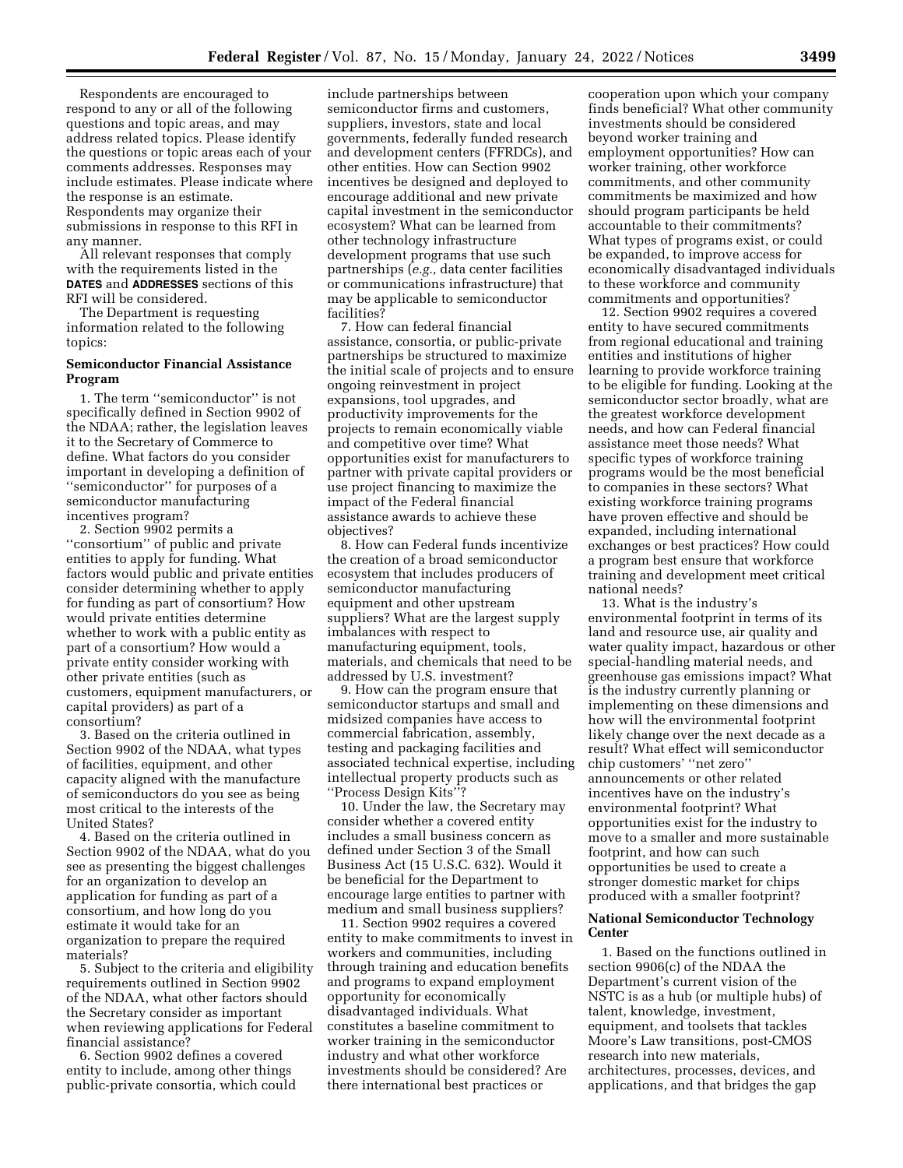Respondents are encouraged to respond to any or all of the following questions and topic areas, and may address related topics. Please identify the questions or topic areas each of your comments addresses. Responses may include estimates. Please indicate where the response is an estimate. Respondents may organize their submissions in response to this RFI in any manner.

All relevant responses that comply with the requirements listed in the **DATES** and **ADDRESSES** sections of this RFI will be considered.

The Department is requesting information related to the following topics:

## **Semiconductor Financial Assistance Program**

1. The term ''semiconductor'' is not specifically defined in Section 9902 of the NDAA; rather, the legislation leaves it to the Secretary of Commerce to define. What factors do you consider important in developing a definition of ''semiconductor'' for purposes of a semiconductor manufacturing incentives program?

2. Section 9902 permits a ''consortium'' of public and private entities to apply for funding. What factors would public and private entities consider determining whether to apply for funding as part of consortium? How would private entities determine whether to work with a public entity as part of a consortium? How would a private entity consider working with other private entities (such as customers, equipment manufacturers, or capital providers) as part of a consortium?

3. Based on the criteria outlined in Section 9902 of the NDAA, what types of facilities, equipment, and other capacity aligned with the manufacture of semiconductors do you see as being most critical to the interests of the United States?

4. Based on the criteria outlined in Section 9902 of the NDAA, what do you see as presenting the biggest challenges for an organization to develop an application for funding as part of a consortium, and how long do you estimate it would take for an organization to prepare the required materials?

5. Subject to the criteria and eligibility requirements outlined in Section 9902 of the NDAA, what other factors should the Secretary consider as important when reviewing applications for Federal financial assistance?

6. Section 9902 defines a covered entity to include, among other things public-private consortia, which could

include partnerships between semiconductor firms and customers, suppliers, investors, state and local governments, federally funded research and development centers (FFRDCs), and other entities. How can Section 9902 incentives be designed and deployed to encourage additional and new private capital investment in the semiconductor ecosystem? What can be learned from other technology infrastructure development programs that use such partnerships (*e.g.,* data center facilities or communications infrastructure) that may be applicable to semiconductor facilities?

7. How can federal financial assistance, consortia, or public-private partnerships be structured to maximize the initial scale of projects and to ensure ongoing reinvestment in project expansions, tool upgrades, and productivity improvements for the projects to remain economically viable and competitive over time? What opportunities exist for manufacturers to partner with private capital providers or use project financing to maximize the impact of the Federal financial assistance awards to achieve these objectives?

8. How can Federal funds incentivize the creation of a broad semiconductor ecosystem that includes producers of semiconductor manufacturing equipment and other upstream suppliers? What are the largest supply imbalances with respect to manufacturing equipment, tools, materials, and chemicals that need to be addressed by U.S. investment?

9. How can the program ensure that semiconductor startups and small and midsized companies have access to commercial fabrication, assembly, testing and packaging facilities and associated technical expertise, including intellectual property products such as ''Process Design Kits''?

10. Under the law, the Secretary may consider whether a covered entity includes a small business concern as defined under Section 3 of the Small Business Act (15 U.S.C. 632). Would it be beneficial for the Department to encourage large entities to partner with medium and small business suppliers?

11. Section 9902 requires a covered entity to make commitments to invest in workers and communities, including through training and education benefits and programs to expand employment opportunity for economically disadvantaged individuals. What constitutes a baseline commitment to worker training in the semiconductor industry and what other workforce investments should be considered? Are there international best practices or

cooperation upon which your company finds beneficial? What other community investments should be considered beyond worker training and employment opportunities? How can worker training, other workforce commitments, and other community commitments be maximized and how should program participants be held accountable to their commitments? What types of programs exist, or could be expanded, to improve access for economically disadvantaged individuals to these workforce and community commitments and opportunities?

12. Section 9902 requires a covered entity to have secured commitments from regional educational and training entities and institutions of higher learning to provide workforce training to be eligible for funding. Looking at the semiconductor sector broadly, what are the greatest workforce development needs, and how can Federal financial assistance meet those needs? What specific types of workforce training programs would be the most beneficial to companies in these sectors? What existing workforce training programs have proven effective and should be expanded, including international exchanges or best practices? How could a program best ensure that workforce training and development meet critical national needs?

13. What is the industry's environmental footprint in terms of its land and resource use, air quality and water quality impact, hazardous or other special-handling material needs, and greenhouse gas emissions impact? What is the industry currently planning or implementing on these dimensions and how will the environmental footprint likely change over the next decade as a result? What effect will semiconductor chip customers' ''net zero'' announcements or other related incentives have on the industry's environmental footprint? What opportunities exist for the industry to move to a smaller and more sustainable footprint, and how can such opportunities be used to create a stronger domestic market for chips produced with a smaller footprint?

# **National Semiconductor Technology Center**

1. Based on the functions outlined in section 9906(c) of the NDAA the Department's current vision of the NSTC is as a hub (or multiple hubs) of talent, knowledge, investment, equipment, and toolsets that tackles Moore's Law transitions, post-CMOS research into new materials, architectures, processes, devices, and applications, and that bridges the gap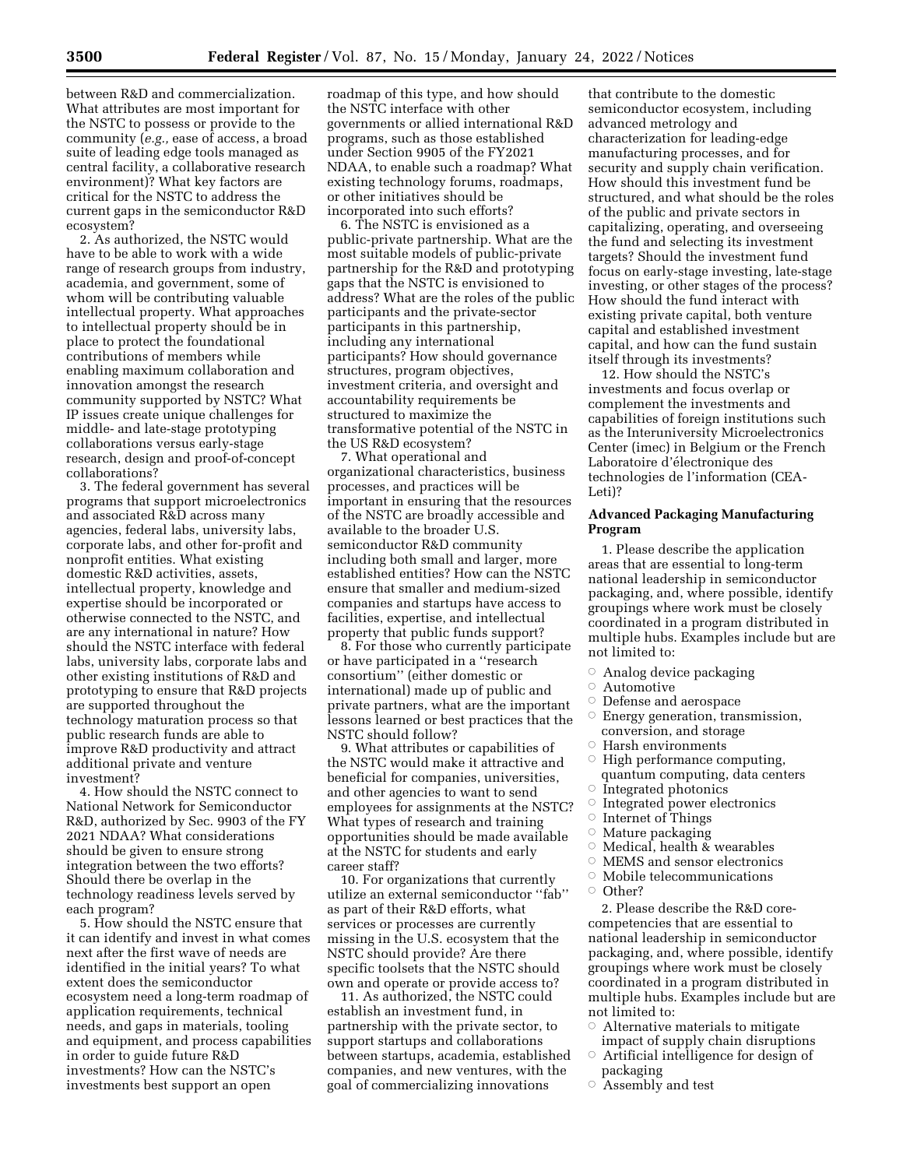between R&D and commercialization. What attributes are most important for the NSTC to possess or provide to the community (*e.g.,* ease of access, a broad suite of leading edge tools managed as central facility, a collaborative research environment)? What key factors are critical for the NSTC to address the current gaps in the semiconductor R&D ecosystem?

2. As authorized, the NSTC would have to be able to work with a wide range of research groups from industry, academia, and government, some of whom will be contributing valuable intellectual property. What approaches to intellectual property should be in place to protect the foundational contributions of members while enabling maximum collaboration and innovation amongst the research community supported by NSTC? What IP issues create unique challenges for middle- and late-stage prototyping collaborations versus early-stage research, design and proof-of-concept collaborations?

3. The federal government has several programs that support microelectronics and associated R&D across many agencies, federal labs, university labs, corporate labs, and other for-profit and nonprofit entities. What existing domestic R&D activities, assets, intellectual property, knowledge and expertise should be incorporated or otherwise connected to the NSTC, and are any international in nature? How should the NSTC interface with federal labs, university labs, corporate labs and other existing institutions of R&D and prototyping to ensure that R&D projects are supported throughout the technology maturation process so that public research funds are able to improve R&D productivity and attract additional private and venture investment?

4. How should the NSTC connect to National Network for Semiconductor R&D, authorized by Sec. 9903 of the FY 2021 NDAA? What considerations should be given to ensure strong integration between the two efforts? Should there be overlap in the technology readiness levels served by each program?

5. How should the NSTC ensure that it can identify and invest in what comes next after the first wave of needs are identified in the initial years? To what extent does the semiconductor ecosystem need a long-term roadmap of application requirements, technical needs, and gaps in materials, tooling and equipment, and process capabilities in order to guide future R&D investments? How can the NSTC's investments best support an open

roadmap of this type, and how should the NSTC interface with other governments or allied international R&D programs, such as those established under Section 9905 of the FY2021 NDAA, to enable such a roadmap? What existing technology forums, roadmaps, or other initiatives should be incorporated into such efforts?

6. The NSTC is envisioned as a public-private partnership. What are the most suitable models of public-private partnership for the R&D and prototyping gaps that the NSTC is envisioned to address? What are the roles of the public participants and the private-sector participants in this partnership, including any international participants? How should governance structures, program objectives, investment criteria, and oversight and accountability requirements be structured to maximize the transformative potential of the NSTC in the US R&D ecosystem?

7. What operational and organizational characteristics, business processes, and practices will be important in ensuring that the resources of the NSTC are broadly accessible and available to the broader U.S. semiconductor R&D community including both small and larger, more established entities? How can the NSTC ensure that smaller and medium-sized companies and startups have access to facilities, expertise, and intellectual property that public funds support?

8. For those who currently participate or have participated in a ''research consortium'' (either domestic or international) made up of public and private partners, what are the important lessons learned or best practices that the NSTC should follow?

9. What attributes or capabilities of the NSTC would make it attractive and beneficial for companies, universities, and other agencies to want to send employees for assignments at the NSTC? What types of research and training opportunities should be made available at the NSTC for students and early career staff?

10. For organizations that currently utilize an external semiconductor ''fab'' as part of their R&D efforts, what services or processes are currently missing in the U.S. ecosystem that the NSTC should provide? Are there specific toolsets that the NSTC should own and operate or provide access to?

11. As authorized, the NSTC could establish an investment fund, in partnership with the private sector, to support startups and collaborations between startups, academia, established companies, and new ventures, with the goal of commercializing innovations

that contribute to the domestic semiconductor ecosystem, including advanced metrology and characterization for leading-edge manufacturing processes, and for security and supply chain verification. How should this investment fund be structured, and what should be the roles of the public and private sectors in capitalizing, operating, and overseeing the fund and selecting its investment targets? Should the investment fund focus on early-stage investing, late-stage investing, or other stages of the process? How should the fund interact with existing private capital, both venture capital and established investment capital, and how can the fund sustain itself through its investments?

12. How should the NSTC's investments and focus overlap or complement the investments and capabilities of foreign institutions such as the Interuniversity Microelectronics Center (imec) in Belgium or the French Laboratoire d'électronique des technologies de l'information (CEA-Leti)?

### **Advanced Packaging Manufacturing Program**

1. Please describe the application areas that are essential to long-term national leadership in semiconductor packaging, and, where possible, identify groupings where work must be closely coordinated in a program distributed in multiple hubs. Examples include but are not limited to:

- $\circ$  Analog device packaging
- $\circ$  Automotive
- **Defense and aerospace**
- $\circ$ Energy generation, transmission,
- conversion, and storage
- $\circ$  Harsh environments
- $\circ$  High performance computing, quantum computing, data centers
- $\circ$  Integrated photonics
- $\circ$  Integrated power electronics
- ÆInternet of Things
- ÆMature packaging
- $\circ$ Medical, health & wearables
- $\circ$  MEMS and sensor electronics
- $\ ^\circ$  Mobile telecommunications
- Other?

2. Please describe the R&D corecompetencies that are essential to national leadership in semiconductor packaging, and, where possible, identify groupings where work must be closely coordinated in a program distributed in multiple hubs. Examples include but are not limited to:

- $\circ$  Alternative materials to mitigate impact of supply chain disruptions
- $\circ$  Artificial intelligence for design of packaging
- $\circ$  Assembly and test